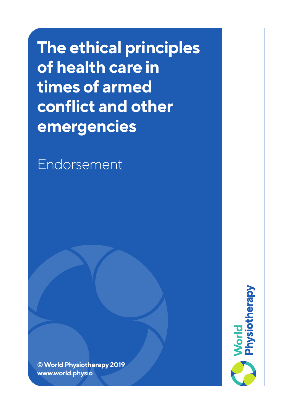**The ethical principles of health care in times of armed conflict and other emergencies**

Endorsement

**© World Physiotherapy 2019 www.world.physio**